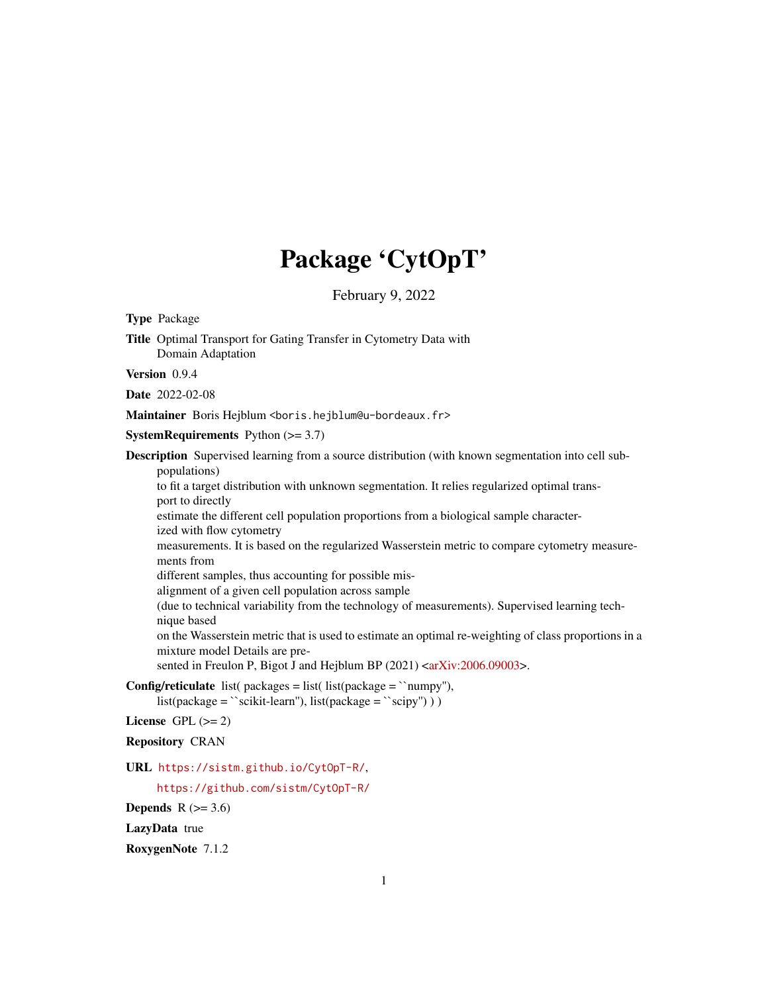# Package 'CytOpT'

February 9, 2022

<span id="page-0-0"></span>Type Package Title Optimal Transport for Gating Transfer in Cytometry Data with Domain Adaptation Version 0.9.4 Date 2022-02-08 Maintainer Boris Hejblum <boris.hejblum@u-bordeaux.fr> **SystemRequirements** Python  $(>= 3.7)$ Description Supervised learning from a source distribution (with known segmentation into cell subpopulations) to fit a target distribution with unknown segmentation. It relies regularized optimal transport to directly estimate the different cell population proportions from a biological sample characterized with flow cytometry measurements. It is based on the regularized Wasserstein metric to compare cytometry measurements from different samples, thus accounting for possible misalignment of a given cell population across sample (due to technical variability from the technology of measurements). Supervised learning technique based on the Wasserstein metric that is used to estimate an optimal re-weighting of class proportions in a mixture model Details are pre-sented in Freulon P, Bigot J and Hejblum BP (2021) [<arXiv:2006.09003>](https://arxiv.org/abs/2006.09003). **Config/reticulate** list( $package = list($  list( $package = 'numpy'')$ ,  $list(package = ``scikit-learn"), list(package = ``scipy''))$ License GPL  $(>= 2)$ Repository CRAN URL <https://sistm.github.io/CytOpT-R/>, <https://github.com/sistm/CytOpT-R/>

Depends  $R$  ( $>= 3.6$ )

LazyData true

RoxygenNote 7.1.2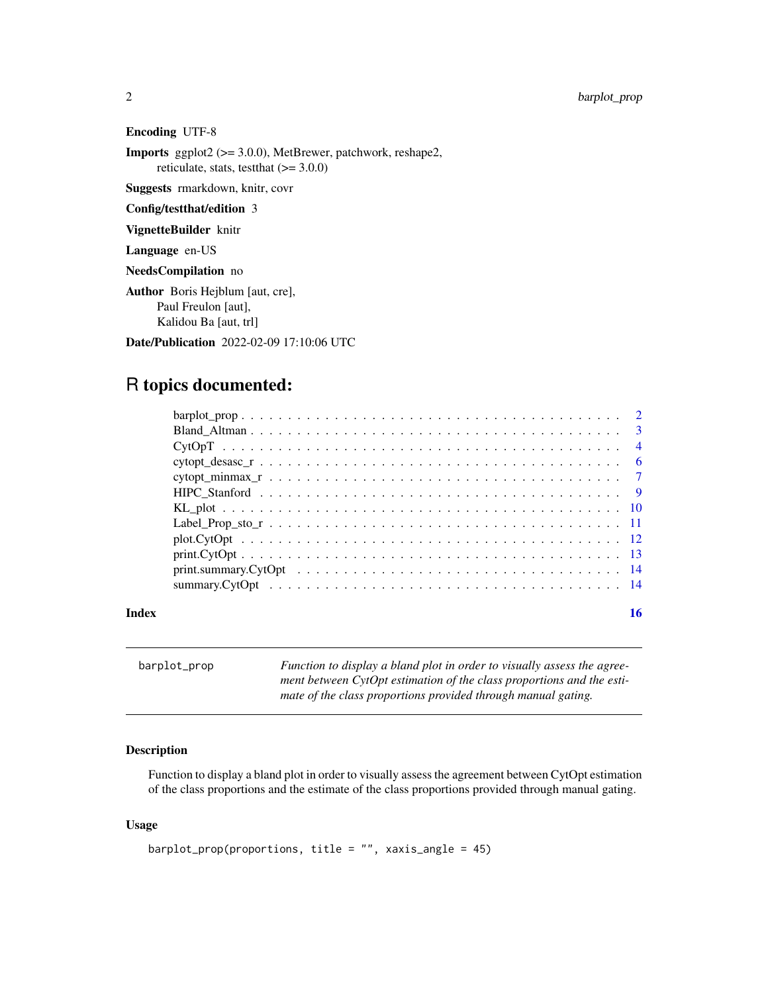<span id="page-1-0"></span>2 barplot\_prop

Encoding UTF-8

Imports ggplot2 (>= 3.0.0), MetBrewer, patchwork, reshape2, reticulate, stats, testthat  $(>= 3.0.0)$ 

Suggests rmarkdown, knitr, covr

Config/testthat/edition 3

VignetteBuilder knitr

Language en-US

NeedsCompilation no

Author Boris Hejblum [aut, cre], Paul Freulon [aut], Kalidou Ba [aut, trl]

Date/Publication 2022-02-09 17:10:06 UTC

# R topics documented:

|       | $barplot\_prop$ |  |
|-------|-----------------|--|
|       |                 |  |
|       |                 |  |
|       |                 |  |
|       |                 |  |
|       |                 |  |
|       |                 |  |
|       |                 |  |
|       |                 |  |
|       |                 |  |
|       |                 |  |
|       |                 |  |
| Index |                 |  |

barplot\_prop *Function to display a bland plot in order to visually assess the agreement between CytOpt estimation of the class proportions and the estimate of the class proportions provided through manual gating.*

#### Description

Function to display a bland plot in order to visually assess the agreement between CytOpt estimation of the class proportions and the estimate of the class proportions provided through manual gating.

#### Usage

```
barplot_prop(proportions, title = ", xaxis_angle = 45)
```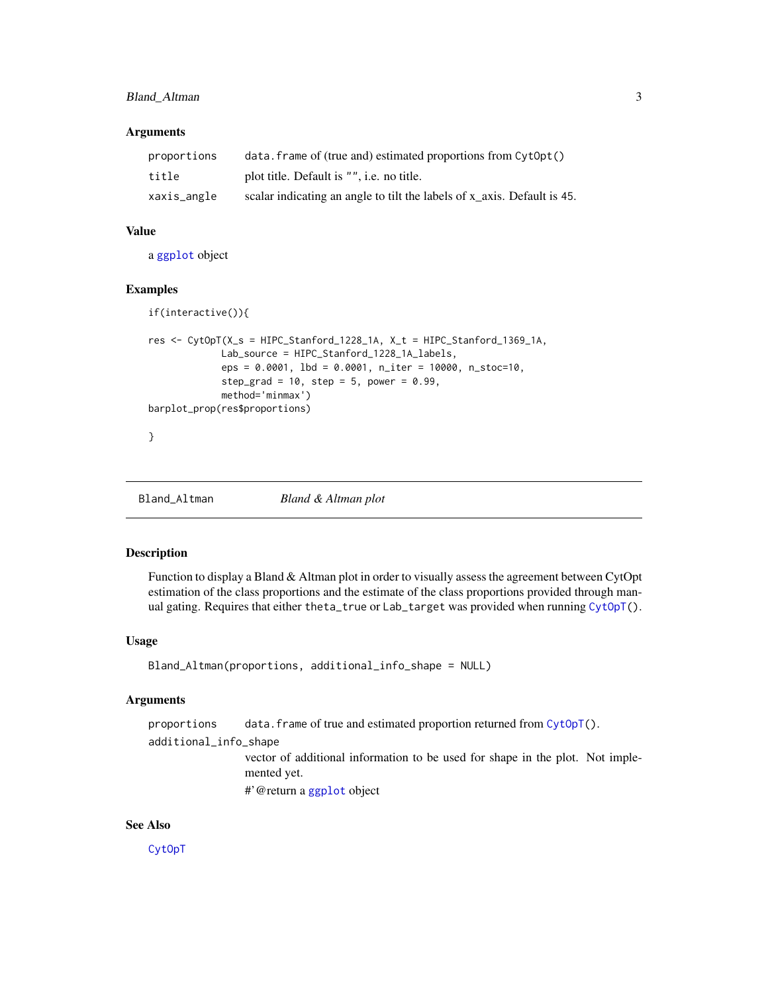#### <span id="page-2-0"></span>Bland\_Altman 3

#### **Arguments**

| proportions | $data.$ frame of (true and) estimated proportions from $CvtOpt()$       |
|-------------|-------------------------------------------------------------------------|
| title       | plot title. Default is "", i.e. no title.                               |
| xaxis_angle | scalar indicating an angle to tilt the labels of x axis. Default is 45. |

#### Value

a [ggplot](#page-0-0) object

#### Examples

```
if(interactive()){
res <- CytOpT(X_s = HIPC_Stanford_1228_1A, X_t = HIPC_Stanford_1369_1A,
             Lab_source = HIPC_Stanford_1228_1A_labels,
             eps = 0.0001, lbd = 0.0001, n_iter = 10000, n_stoc=10,
             step_grad = 10, step = 5, power = 0.99,
             method='minmax')
barplot_prop(res$proportions)
}
```
Bland\_Altman *Bland & Altman plot*

#### Description

Function to display a Bland & Altman plot in order to visually assess the agreement between CytOpt estimation of the class proportions and the estimate of the class proportions provided through man-ual gating. Requires that either theta\_true or Lab\_target was provided when running [CytOpT\(](#page-3-1)).

#### Usage

```
Bland_Altman(proportions, additional_info_shape = NULL)
```
#### Arguments

proportions data.frame of true and estimated proportion returned from [CytOpT\(](#page-3-1)).

additional\_info\_shape

vector of additional information to be used for shape in the plot. Not implemented yet.

#'@return a [ggplot](#page-0-0) object

#### See Also

[CytOpT](#page-3-1)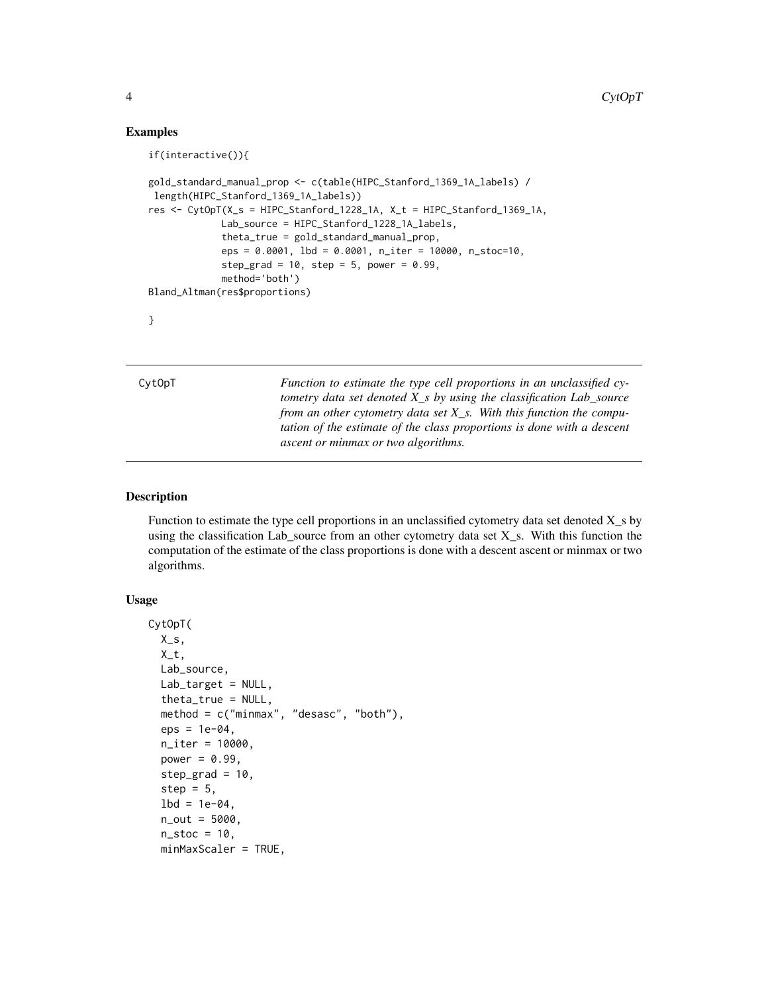#### Examples

```
if(interactive()){
gold_standard_manual_prop <- c(table(HIPC_Stanford_1369_1A_labels) /
length(HIPC_Stanford_1369_1A_labels))
res <- CytOpT(X_s = HIPC_Stanford_1228_1A, X_t = HIPC_Stanford_1369_1A,
             Lab_source = HIPC_Stanford_1228_1A_labels,
             theta_true = gold_standard_manual_prop,
             eps = 0.0001, lbd = 0.0001, n_iter = 10000, n_stoc=10,
             step_grad = 10, step = 5, power = 0.99,
             method='both')
Bland_Altman(res$proportions)
}
```
<span id="page-3-1"></span>CytOpT *Function to estimate the type cell proportions in an unclassified cytometry data set denoted X\_s by using the classification Lab\_source from an other cytometry data set X\_s. With this function the computation of the estimate of the class proportions is done with a descent ascent or minmax or two algorithms.*

#### Description

Function to estimate the type cell proportions in an unclassified cytometry data set denoted  $X_s$  by using the classification Lab\_source from an other cytometry data set X\_s. With this function the computation of the estimate of the class proportions is done with a descent ascent or minmax or two algorithms.

#### Usage

```
CytOpT(
  X_s,
  X_t,
  Lab_source,
  Lab\_target = NULL,theta_true = NULL,
  method = c("minmax", "desasc", "both"),
  eps = 1e-04,
  n_iter = 10000,
  power = 0.99,
  step_grad = 10.
  step = 5,
  1bd = 1e-04.
  n_out = 5000,n\_stoc = 10,
  minMaxScaler = TRUE,
```
<span id="page-3-0"></span>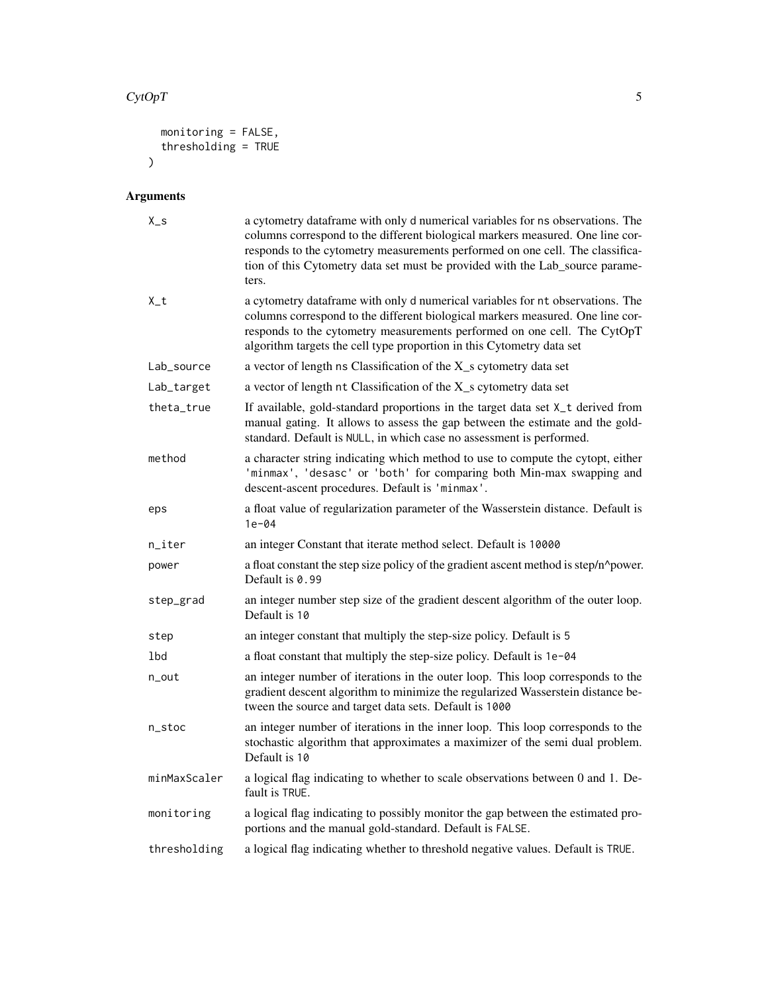#### $CytOpT$  5

```
monitoring = FALSE,
  thresholding = TRUE
\lambda
```
# Arguments

| $X_S$        | a cytometry dataframe with only d numerical variables for ns observations. The<br>columns correspond to the different biological markers measured. One line cor-<br>responds to the cytometry measurements performed on one cell. The classifica-<br>tion of this Cytometry data set must be provided with the Lab_source parame-<br>ters. |
|--------------|--------------------------------------------------------------------------------------------------------------------------------------------------------------------------------------------------------------------------------------------------------------------------------------------------------------------------------------------|
| $X_t$        | a cytometry dataframe with only d numerical variables for nt observations. The<br>columns correspond to the different biological markers measured. One line cor-<br>responds to the cytometry measurements performed on one cell. The CytOpT<br>algorithm targets the cell type proportion in this Cytometry data set                      |
| Lab_source   | a vector of length ns Classification of the X_s cytometry data set                                                                                                                                                                                                                                                                         |
| Lab_target   | a vector of length nt Classification of the X_s cytometry data set                                                                                                                                                                                                                                                                         |
| theta_true   | If available, gold-standard proportions in the target data set X_t derived from<br>manual gating. It allows to assess the gap between the estimate and the gold-<br>standard. Default is NULL, in which case no assessment is performed.                                                                                                   |
| method       | a character string indicating which method to use to compute the cytopt, either<br>'minmax', 'desasc' or 'both' for comparing both Min-max swapping and<br>descent-ascent procedures. Default is 'minmax'.                                                                                                                                 |
| eps          | a float value of regularization parameter of the Wasserstein distance. Default is<br>$1e-04$                                                                                                                                                                                                                                               |
| n_iter       | an integer Constant that iterate method select. Default is 10000                                                                                                                                                                                                                                                                           |
| power        | a float constant the step size policy of the gradient ascent method is step/n^power.<br>Default is 0.99                                                                                                                                                                                                                                    |
| step_grad    | an integer number step size of the gradient descent algorithm of the outer loop.<br>Default is 10                                                                                                                                                                                                                                          |
| step         | an integer constant that multiply the step-size policy. Default is 5                                                                                                                                                                                                                                                                       |
| 1bd          | a float constant that multiply the step-size policy. Default is 1e-04                                                                                                                                                                                                                                                                      |
| n_out        | an integer number of iterations in the outer loop. This loop corresponds to the<br>gradient descent algorithm to minimize the regularized Wasserstein distance be-<br>tween the source and target data sets. Default is 1000                                                                                                               |
| n_stoc       | an integer number of iterations in the inner loop. This loop corresponds to the<br>stochastic algorithm that approximates a maximizer of the semi dual problem.<br>Default is 10                                                                                                                                                           |
| minMaxScaler | a logical flag indicating to whether to scale observations between 0 and 1. De-<br>fault is TRUE.                                                                                                                                                                                                                                          |
| monitoring   | a logical flag indicating to possibly monitor the gap between the estimated pro-<br>portions and the manual gold-standard. Default is FALSE.                                                                                                                                                                                               |
| thresholding | a logical flag indicating whether to threshold negative values. Default is TRUE.                                                                                                                                                                                                                                                           |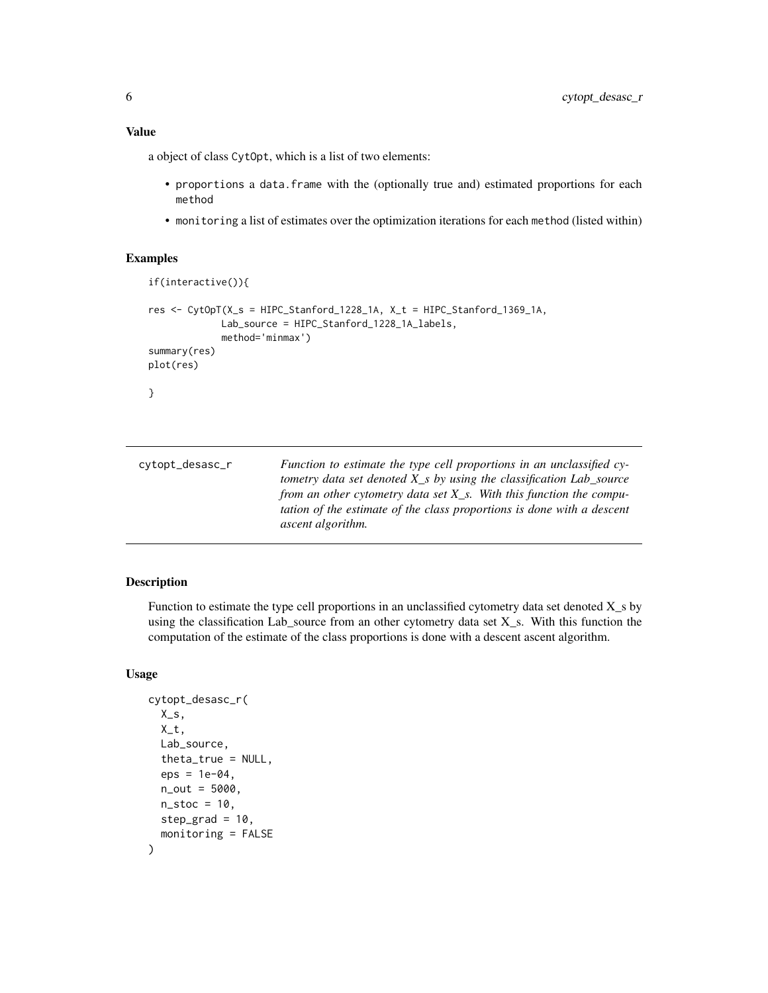#### <span id="page-5-0"></span>Value

a object of class CytOpt, which is a list of two elements:

- proportions a data.frame with the (optionally true and) estimated proportions for each method
- monitoring a list of estimates over the optimization iterations for each method (listed within)

#### Examples

```
if(interactive()){
res <- CytOpT(X_s = HIPC_Stanford_1228_1A, X_t = HIPC_Stanford_1369_1A,
             Lab_source = HIPC_Stanford_1228_1A_labels,
             method='minmax')
summary(res)
plot(res)
}
```

| cytopt_desasc_r | Function to estimate the type cell proportions in an unclassified cy-  |
|-----------------|------------------------------------------------------------------------|
|                 | tometry data set denoted X s by using the classification Lab source    |
|                 | from an other cytometry data set $X_s$ . With this function the compu- |
|                 | tation of the estimate of the class proportions is done with a descent |
|                 | <i>ascent algorithm.</i>                                               |

#### Description

Function to estimate the type cell proportions in an unclassified cytometry data set denoted  $X_s$  by using the classification Lab\_source from an other cytometry data set X\_s. With this function the computation of the estimate of the class proportions is done with a descent ascent algorithm.

#### Usage

```
cytopt_desasc_r(
  X_S,
  X_t,
  Lab_source,
  theta_true = NULL,
  eps = 1e-04.
  n_out = 5000,n\_stoc = 10,
  step\_grad = 10,
  monitoring = FALSE
)
```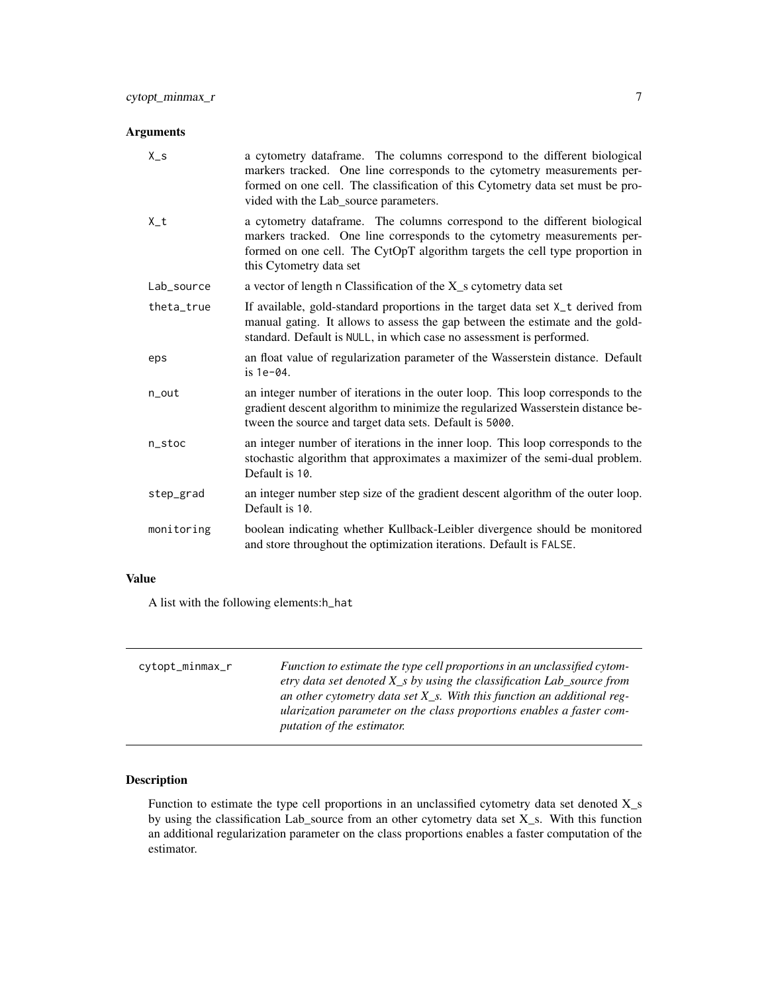# <span id="page-6-0"></span>Arguments

| $X_{S}$    | a cytometry dataframe. The columns correspond to the different biological<br>markers tracked. One line corresponds to the cytometry measurements per-<br>formed on one cell. The classification of this Cytometry data set must be pro-<br>vided with the Lab_source parameters. |
|------------|----------------------------------------------------------------------------------------------------------------------------------------------------------------------------------------------------------------------------------------------------------------------------------|
| $X_t$      | a cytometry dataframe. The columns correspond to the different biological<br>markers tracked. One line corresponds to the cytometry measurements per-<br>formed on one cell. The CytOpT algorithm targets the cell type proportion in<br>this Cytometry data set                 |
| Lab_source | a vector of length n Classification of the X_s cytometry data set                                                                                                                                                                                                                |
| theta_true | If available, gold-standard proportions in the target data set X_t derived from<br>manual gating. It allows to assess the gap between the estimate and the gold-<br>standard. Default is NULL, in which case no assessment is performed.                                         |
| eps        | an float value of regularization parameter of the Wasserstein distance. Default<br>$is 1e-04.$                                                                                                                                                                                   |
| n_out      | an integer number of iterations in the outer loop. This loop corresponds to the<br>gradient descent algorithm to minimize the regularized Wasserstein distance be-<br>tween the source and target data sets. Default is 5000.                                                    |
| n_stoc     | an integer number of iterations in the inner loop. This loop corresponds to the<br>stochastic algorithm that approximates a maximizer of the semi-dual problem.<br>Default is 10.                                                                                                |
| step_grad  | an integer number step size of the gradient descent algorithm of the outer loop.<br>Default is 10.                                                                                                                                                                               |
| monitoring | boolean indicating whether Kullback-Leibler divergence should be monitored<br>and store throughout the optimization iterations. Default is FALSE.                                                                                                                                |

### Value

A list with the following elements:h\_hat

| cytopt_minmax_r | Function to estimate the type cell proportions in an unclassified cytom-<br>etry data set denoted $X_s$ by using the classification Lab source from<br>an other cytometry data set $X_s$ . With this function an additional reg-<br>ularization parameter on the class proportions enables a faster com-<br><i>putation of the estimator.</i> |
|-----------------|-----------------------------------------------------------------------------------------------------------------------------------------------------------------------------------------------------------------------------------------------------------------------------------------------------------------------------------------------|
|                 |                                                                                                                                                                                                                                                                                                                                               |

# Description

Function to estimate the type cell proportions in an unclassified cytometry data set denoted X\_s by using the classification Lab\_source from an other cytometry data set X\_s. With this function an additional regularization parameter on the class proportions enables a faster computation of the estimator.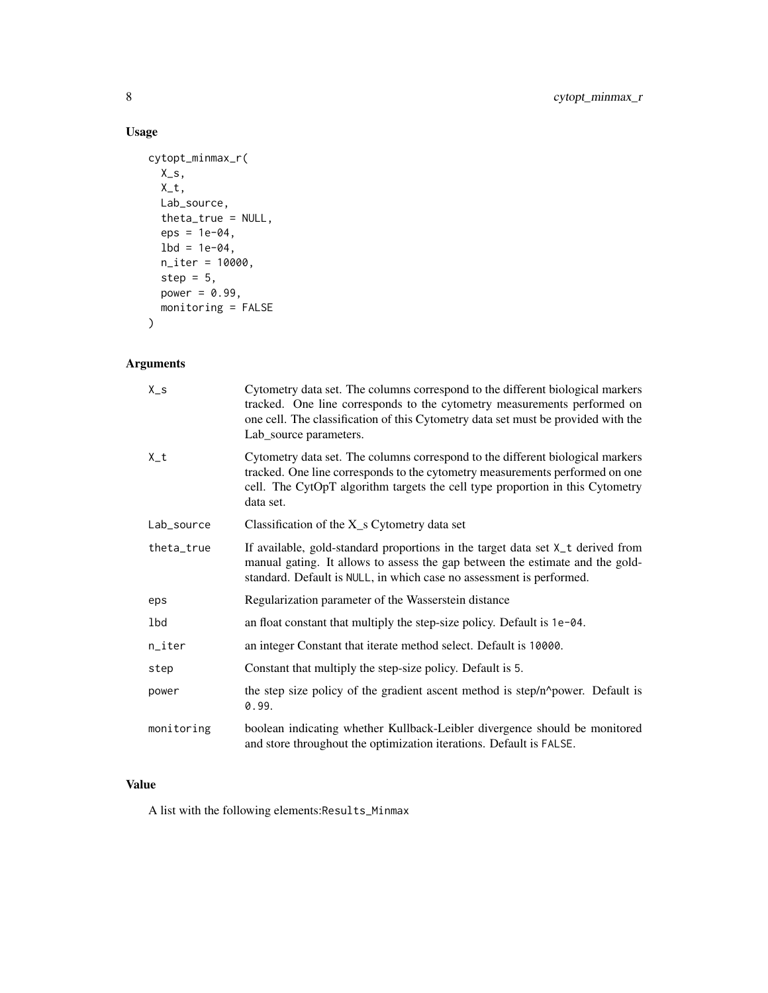# Usage

```
cytopt_minmax_r(
  X_S,
  X_t,
  Lab_source,
  theta_true = NULL,
  eps = 1e-04,1bd = 1e-04,
  n_iter = 10000,
  step = 5,power = 0.99,
  monitoring = FALSE
\mathcal{L}
```
# Arguments

| $X_S$      | Cytometry data set. The columns correspond to the different biological markers<br>tracked. One line corresponds to the cytometry measurements performed on<br>one cell. The classification of this Cytometry data set must be provided with the<br>Lab_source parameters. |
|------------|---------------------------------------------------------------------------------------------------------------------------------------------------------------------------------------------------------------------------------------------------------------------------|
| $X_t$      | Cytometry data set. The columns correspond to the different biological markers<br>tracked. One line corresponds to the cytometry measurements performed on one<br>cell. The CytOpT algorithm targets the cell type proportion in this Cytometry<br>data set.              |
| Lab_source | Classification of the $X_s$ Cytometry data set                                                                                                                                                                                                                            |
| theta_true | If available, gold-standard proportions in the target data set X_t derived from<br>manual gating. It allows to assess the gap between the estimate and the gold-<br>standard. Default is NULL, in which case no assessment is performed.                                  |
| eps        | Regularization parameter of the Wasserstein distance                                                                                                                                                                                                                      |
| 1bd        | an float constant that multiply the step-size policy. Default is 1e-04.                                                                                                                                                                                                   |
| n_iter     | an integer Constant that iterate method select. Default is 10000.                                                                                                                                                                                                         |
| step       | Constant that multiply the step-size policy. Default is 5.                                                                                                                                                                                                                |
| power      | the step size policy of the gradient ascent method is step/n^power. Default is<br>0.99.                                                                                                                                                                                   |
| monitoring | boolean indicating whether Kullback-Leibler divergence should be monitored<br>and store throughout the optimization iterations. Default is FALSE.                                                                                                                         |

#### Value

A list with the following elements:Results\_Minmax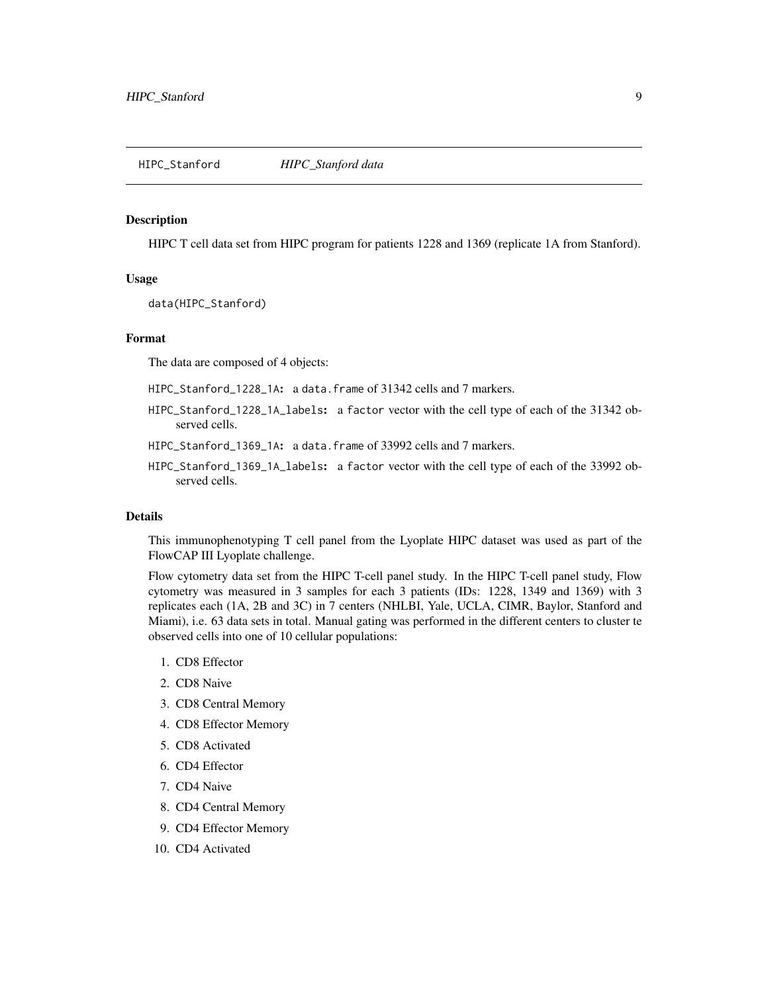#### <span id="page-8-0"></span>Description

HIPC T cell data set from HIPC program for patients 1228 and 1369 (replicate 1A from Stanford).

#### Usage

data(HIPC\_Stanford)

#### Format

The data are composed of 4 objects:

HIPC\_Stanford\_1228\_1A: a data.frame of 31342 cells and 7 markers.

- HIPC\_Stanford\_1228\_1A\_labels: a factor vector with the cell type of each of the 31342 observed cells.
- HIPC\_Stanford\_1369\_1A: a data.frame of 33992 cells and 7 markers.
- HIPC\_Stanford\_1369\_1A\_labels: a factor vector with the cell type of each of the 33992 observed cells.

#### Details

This immunophenotyping T cell panel from the Lyoplate HIPC dataset was used as part of the FlowCAP III Lyoplate challenge.

Flow cytometry data set from the HIPC T-cell panel study. In the HIPC T-cell panel study, Flow cytometry was measured in 3 samples for each 3 patients (IDs: 1228, 1349 and 1369) with 3 replicates each (1A, 2B and 3C) in 7 centers (NHLBI, Yale, UCLA, CIMR, Baylor, Stanford and Miami), i.e. 63 data sets in total. Manual gating was performed in the different centers to cluster te observed cells into one of 10 cellular populations:

- 1. CD8 Effector
- 2. CD8 Naive
- 3. CD8 Central Memory
- 4. CD8 Effector Memory
- 5. CD8 Activated
- 6. CD4 Effector
- 7. CD4 Naive
- 8. CD4 Central Memory
- 9. CD4 Effector Memory
- 10. CD4 Activated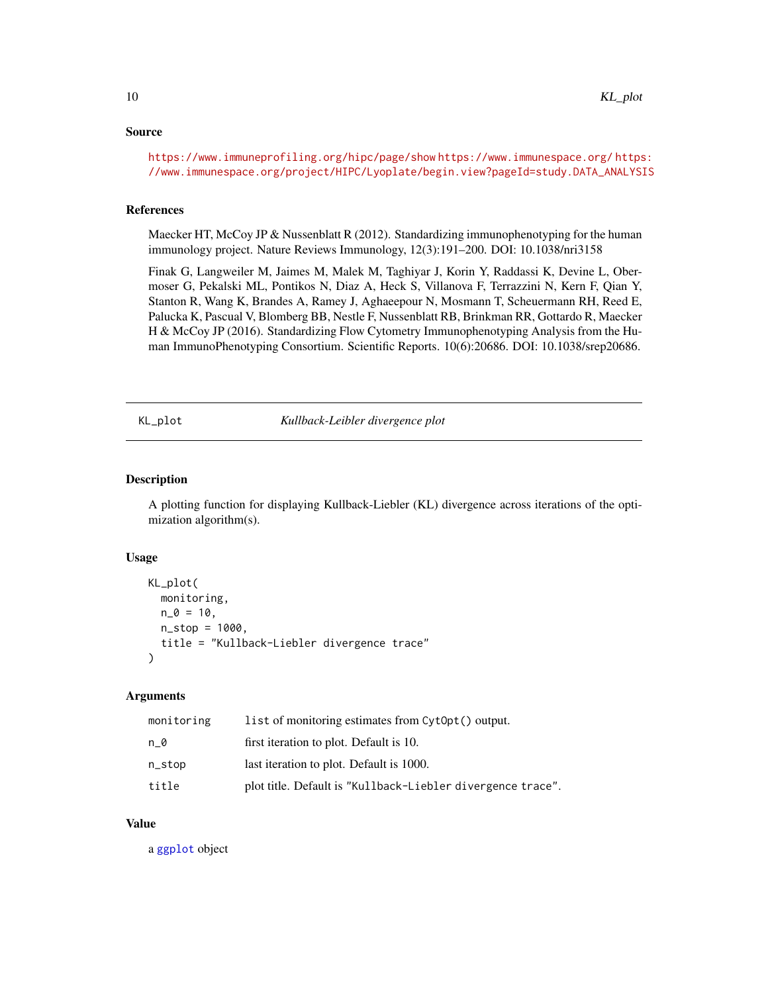#### <span id="page-9-0"></span>Source

<https://www.immuneprofiling.org/hipc/page/show> <https://www.immunespace.org/> [https](https://www.immunespace.org/project/HIPC/Lyoplate/begin.view?pageId=study.DATA_ANALYSIS): [//www.immunespace.org/project/HIPC/Lyoplate/begin.view?pageId=study.DATA\\_ANALYSIS](https://www.immunespace.org/project/HIPC/Lyoplate/begin.view?pageId=study.DATA_ANALYSIS)

#### References

Maecker HT, McCoy JP & Nussenblatt R (2012). Standardizing immunophenotyping for the human immunology project. Nature Reviews Immunology, 12(3):191–200. DOI: 10.1038/nri3158

Finak G, Langweiler M, Jaimes M, Malek M, Taghiyar J, Korin Y, Raddassi K, Devine L, Obermoser G, Pekalski ML, Pontikos N, Diaz A, Heck S, Villanova F, Terrazzini N, Kern F, Qian Y, Stanton R, Wang K, Brandes A, Ramey J, Aghaeepour N, Mosmann T, Scheuermann RH, Reed E, Palucka K, Pascual V, Blomberg BB, Nestle F, Nussenblatt RB, Brinkman RR, Gottardo R, Maecker H & McCoy JP (2016). Standardizing Flow Cytometry Immunophenotyping Analysis from the Human ImmunoPhenotyping Consortium. Scientific Reports. 10(6):20686. DOI: 10.1038/srep20686.

KL\_plot *Kullback-Leibler divergence plot*

#### Description

A plotting function for displaying Kullback-Liebler (KL) divergence across iterations of the optimization algorithm(s).

#### Usage

```
KL_plot(
  monitoring,
  n_0 = 10,
  n_{\text{1}}stop = 1000,title = "Kullback-Liebler divergence trace"
)
```
#### Arguments

| monitoring | list of monitoring estimates from Cyt0pt() output.          |
|------------|-------------------------------------------------------------|
| n 0        | first iteration to plot. Default is 10.                     |
| n_stop     | last iteration to plot. Default is 1000.                    |
| title      | plot title. Default is "Kullback-Liebler divergence trace". |

#### Value

a [ggplot](#page-0-0) object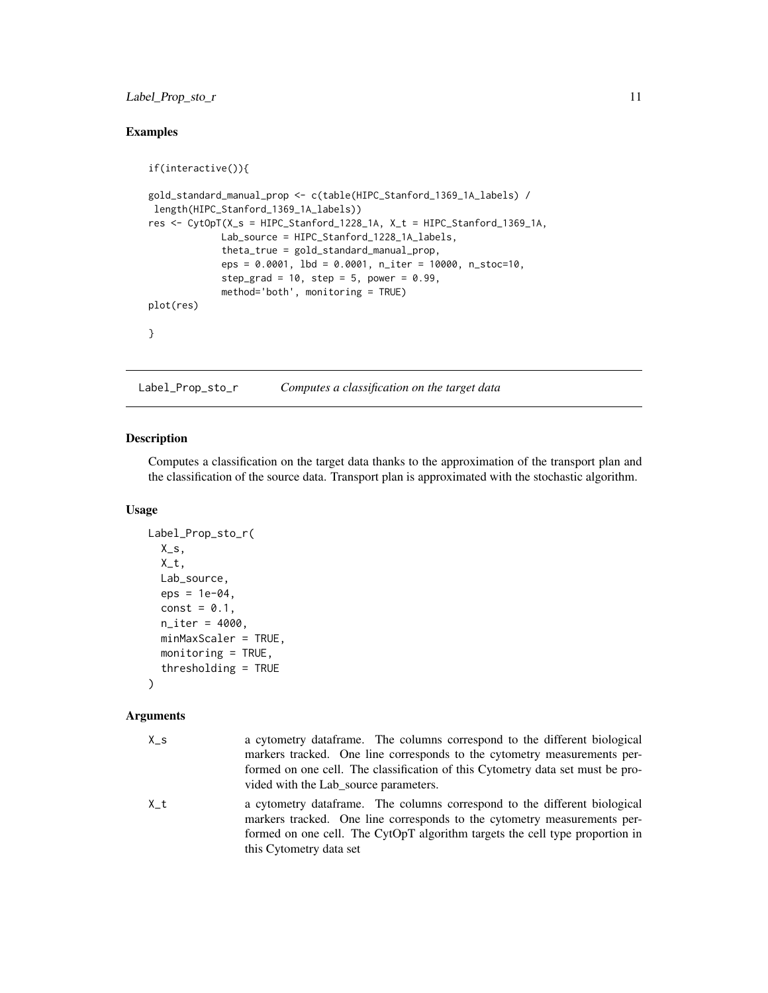### <span id="page-10-0"></span>Label\_Prop\_sto\_r 11

### Examples

```
if(interactive()){
gold_standard_manual_prop <- c(table(HIPC_Stanford_1369_1A_labels) /
length(HIPC_Stanford_1369_1A_labels))
res <- CytOpT(X_s = HIPC_Stanford_1228_1A, X_t = HIPC_Stanford_1369_1A,
             Lab_source = HIPC_Stanford_1228_1A_labels,
             theta_true = gold_standard_manual_prop,
             eps = 0.0001, lbd = 0.0001, n_iter = 10000, n_stoc=10,
             step_grad = 10, step = 5, power = 0.99,
             method='both', monitoring = TRUE)
plot(res)
}
```
Label\_Prop\_sto\_r *Computes a classification on the target data*

#### Description

Computes a classification on the target data thanks to the approximation of the transport plan and the classification of the source data. Transport plan is approximated with the stochastic algorithm.

#### Usage

```
Label_Prop_sto_r(
  X_S,
  X_t,
 Lab_source,
  eps = 1e-04,
  const = 0.1,
  n_iter = 4000,
 minMaxScaler = TRUE,
  monitoring = TRUE,
  thresholding = TRUE
)
```
#### Arguments

| $X_S$ | a cytometry dataframe. The columns correspond to the different biological                                                                                                                                                                                        |
|-------|------------------------------------------------------------------------------------------------------------------------------------------------------------------------------------------------------------------------------------------------------------------|
|       | markers tracked. One line corresponds to the cytometry measurements per-                                                                                                                                                                                         |
|       | formed on one cell. The classification of this Cytometry data set must be pro-                                                                                                                                                                                   |
|       | vided with the Lab source parameters.                                                                                                                                                                                                                            |
| X t   | a cytometry dataframe. The columns correspond to the different biological<br>markers tracked. One line corresponds to the cytometry measurements per-<br>formed on one cell. The CytOpT algorithm targets the cell type proportion in<br>this Cytometry data set |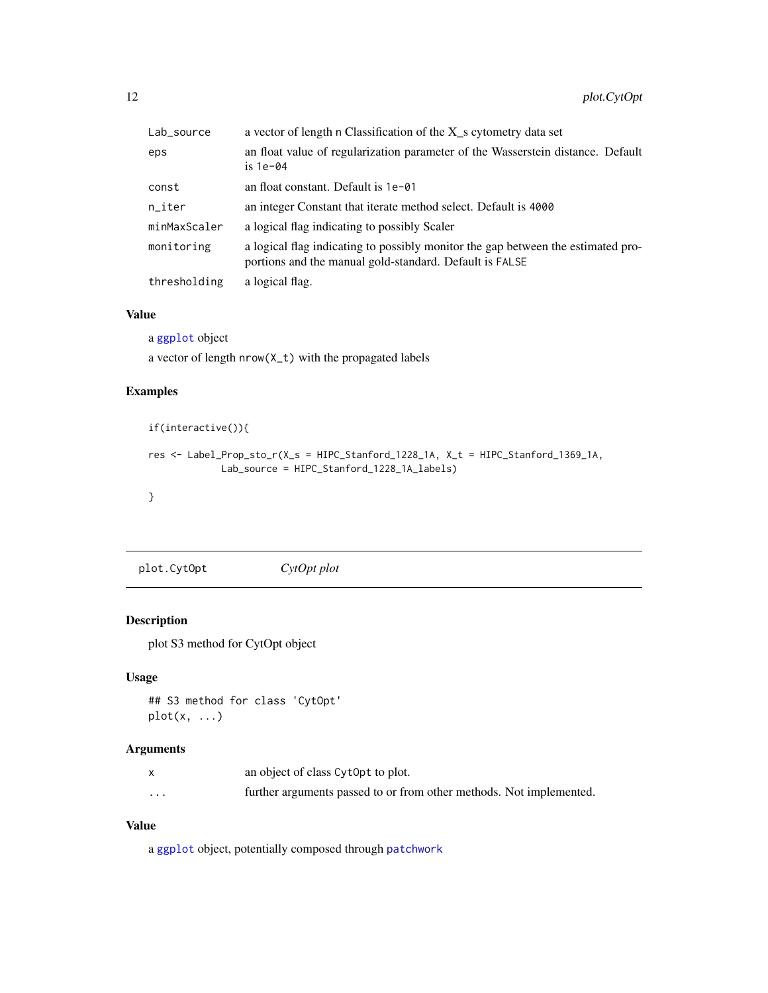<span id="page-11-0"></span>

| Lab_source   | a vector of length n Classification of the X_s cytometry data set                                                                           |
|--------------|---------------------------------------------------------------------------------------------------------------------------------------------|
| eps          | an float value of regularization parameter of the Wasserstein distance. Default<br>is $1e-04$                                               |
| const        | an float constant. Default is 1e-01                                                                                                         |
| n_iter       | an integer Constant that iterate method select. Default is 4000                                                                             |
| minMaxScaler | a logical flag indicating to possibly Scaler                                                                                                |
| monitoring   | a logical flag indicating to possibly monitor the gap between the estimated pro-<br>portions and the manual gold-standard. Default is FALSE |
| thresholding | a logical flag.                                                                                                                             |

#### Value

a [ggplot](#page-0-0) object

a vector of length nrow(X\_t) with the propagated labels

#### Examples

```
if(interactive()){
res <- Label_Prop_sto_r(X_s = HIPC_Stanford_1228_1A, X_t = HIPC_Stanford_1369_1A,
            Lab_source = HIPC_Stanford_1228_1A_labels)
}
```
plot.CytOpt *CytOpt plot*

# Description

plot S3 method for CytOpt object

#### Usage

```
## S3 method for class 'CytOpt'
plot(x, \ldots)
```
#### Arguments

|          | an object of class Cytopt to plot.                                  |
|----------|---------------------------------------------------------------------|
| $\cdots$ | further arguments passed to or from other methods. Not implemented. |

# Value

a [ggplot](#page-0-0) object, potentially composed through [patchwork](#page-0-0)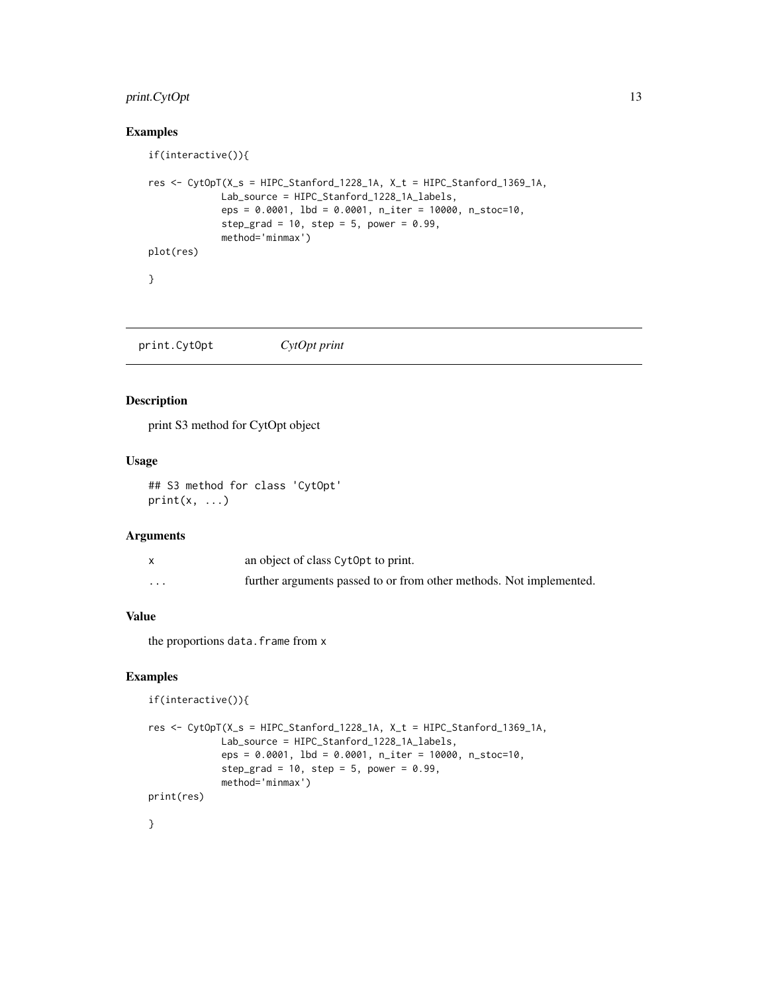# <span id="page-12-0"></span>print.CytOpt 13

### Examples

```
if(interactive()){
res <- CytOpT(X_s = HIPC_Stanford_1228_1A, X_t = HIPC_Stanford_1369_1A,
             Lab_source = HIPC_Stanford_1228_1A_labels,
             eps = 0.0001, lbd = 0.0001, n_iter = 10000, n_stoc=10,
             step_grad = 10, step = 5, power = 0.99,
             method='minmax')
plot(res)
}
```
print.CytOpt *CytOpt print*

#### Description

print S3 method for CytOpt object

# Usage

```
## S3 method for class 'CytOpt'
print(x, \ldots)
```
#### Arguments

|          | an object of class CytOpt to print.                                 |
|----------|---------------------------------------------------------------------|
| $\cdots$ | further arguments passed to or from other methods. Not implemented. |

#### Value

the proportions data.frame from x

#### Examples

```
if(interactive()){
res <- CytOpT(X_s = HIPC_Stanford_1228_1A, X_t = HIPC_Stanford_1369_1A,
             Lab_source = HIPC_Stanford_1228_1A_labels,
             eps = 0.0001, lbd = 0.0001, n_iter = 10000, n_stoc=10,
             step_grad = 10, step = 5, power = 0.99,
             method='minmax')
print(res)
}
```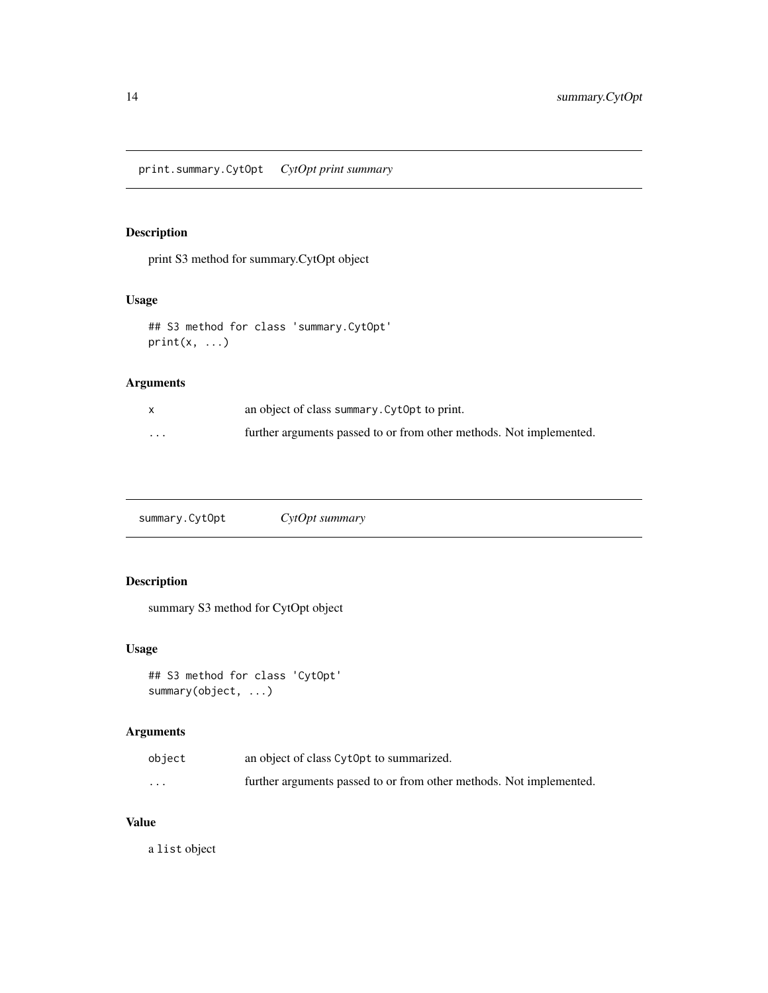#### <span id="page-13-0"></span>Description

print S3 method for summary.CytOpt object

# Usage

```
## S3 method for class 'summary.CytOpt'
print(x, \ldots)
```
#### Arguments

|                         | an object of class summary. Cytopt to print.                        |
|-------------------------|---------------------------------------------------------------------|
| $\cdot$ $\cdot$ $\cdot$ | further arguments passed to or from other methods. Not implemented. |

summary.CytOpt *CytOpt summary*

# Description

summary S3 method for CytOpt object

#### Usage

```
## S3 method for class 'CytOpt'
summary(object, ...)
```
#### Arguments

| object   | an object of class CytOpt to summarized.                            |
|----------|---------------------------------------------------------------------|
| $\cdots$ | further arguments passed to or from other methods. Not implemented. |

# Value

a list object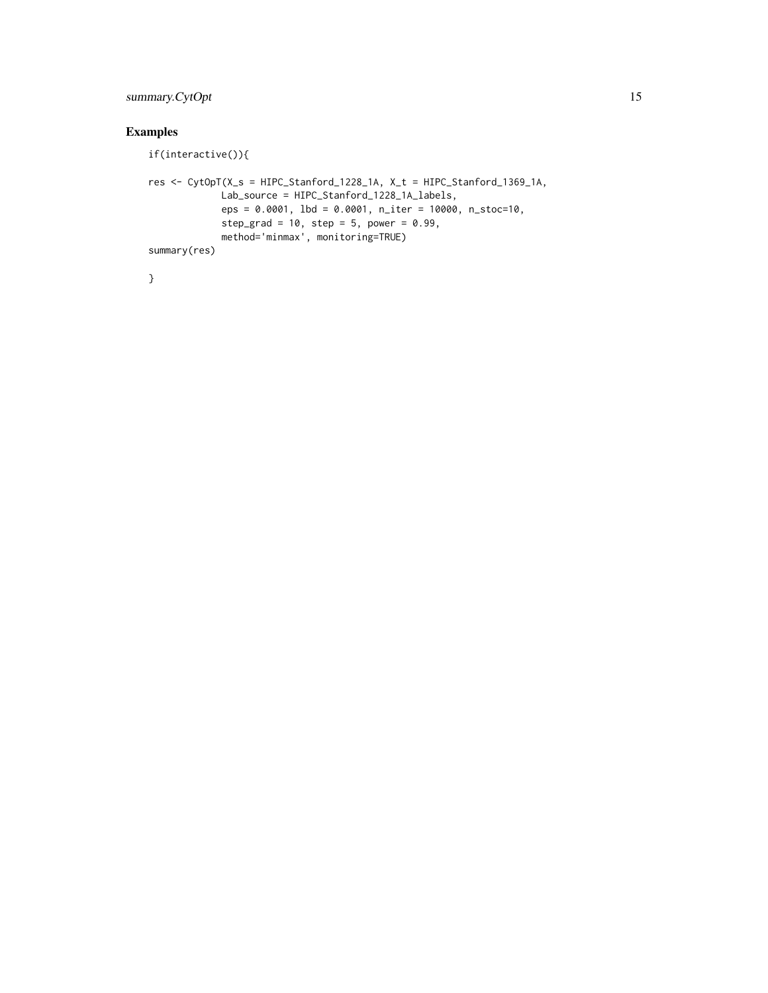# summary.CytOpt 15

# Examples

```
if(interactive()){
res <- CytOpT(X_s = HIPC_Stanford_1228_1A, X_t = HIPC_Stanford_1369_1A,
            Lab_source = HIPC_Stanford_1228_1A_labels,
            eps = 0.0001, lbd = 0.0001, n_iter = 10000, n_stoc=10,
            step_grad = 10, step = 5, power = 0.99,
            method='minmax', monitoring=TRUE)
summary(res)
```
}